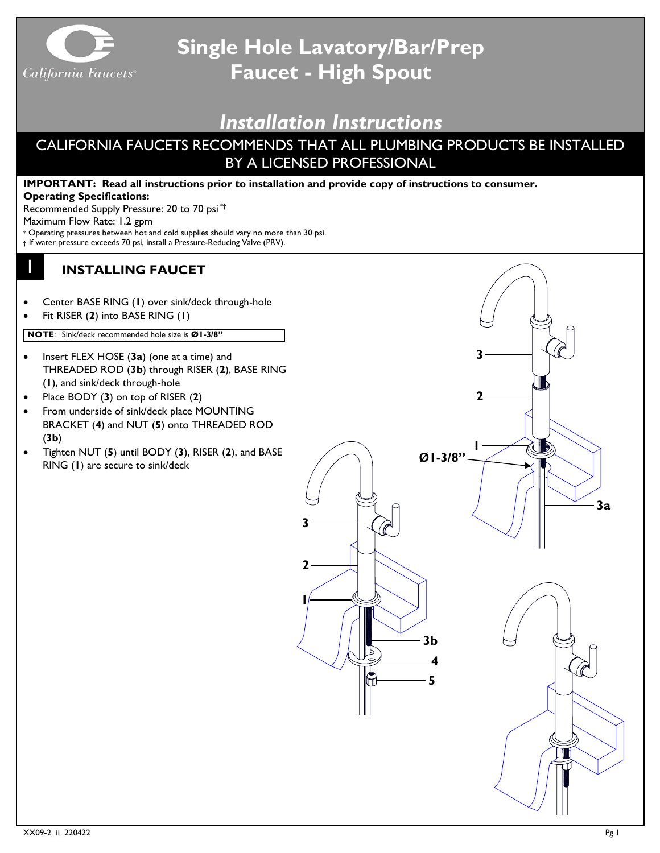

## **Single Hole Lavatory/Bar/Prep Faucet - High Spout**

## *Installation Instructions*

## CALIFORNIA FAUCETS RECOMMENDS THAT ALL PLUMBING PRODUCTS BE INSTALLED BY A LICENSED PROFESSIONAL

## **IMPORTANT: Read all instructions prior to installation and provide copy of instructions to consumer. Operating Specifications:** Recommended Supply Pressure: 20 to 70 psi \*† Maximum Flow Rate: 1.2 gpm \* Operating pressures between hot and cold supplies should vary no more than 30 psi. † If water pressure exceeds 70 psi, install a Pressure-Reducing Valve (PRV). 1 **INSTALLING FAUCET** • Center BASE RING (**1**) over sink/deck through-hole • Fit RISER (**2**) into BASE RING (**1**) **NOTE**: Sink/deck recommended hole size is **Ø1-3/8" 3** • Insert FLEX HOSE (**3a**) (one at a time) and THREADED ROD (**3b**) through RISER (**2**), BASE RING (**1**), and sink/deck through-hole **2**• Place BODY (**3**) on top of RISER (**2**) • From underside of sink/deck place MOUNTING BRACKET (**4**) and NUT (**5**) onto THREADED ROD (**3b**) **1** • Tighten NUT (**5**) until BODY (**3**), RISER (**2**), and BASE  $ØI - 3/8"$ RING (**1**) are secure to sink/deck **3a 3 2 1 3b 4 5**  $\pi$